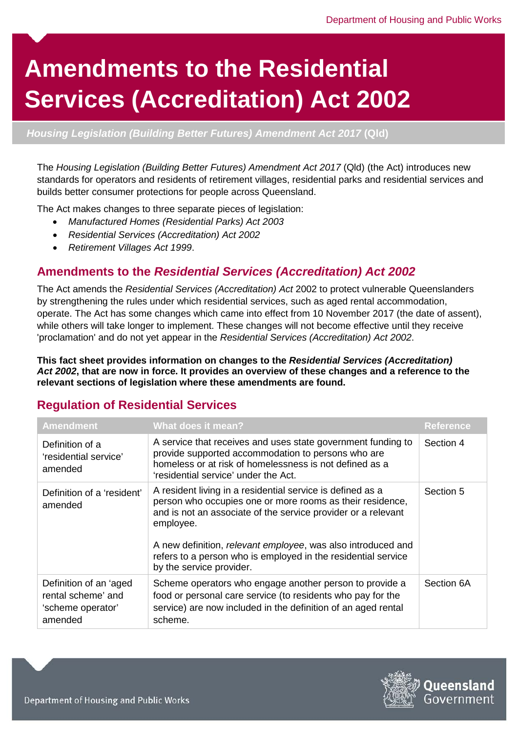# **Amendments to the Residential Services (Accreditation) Act 2002**

#### *Housing Legislation (Building Better Futures) Amendment Act 2017* **(Qld)**

The *Housing Legislation (Building Better Futures) Amendment Act 2017* (Qld) (the Act) introduces new standards for operators and residents of retirement villages, residential parks and residential services and builds better consumer protections for people across Queensland.

The Act makes changes to three separate pieces of legislation:

- *Manufactured Homes (Residential Parks) Act 2003*
- *Residential Services (Accreditation) Act 2002*
- *Retirement Villages Act 1999*.

### **Amendments to the** *Residential Services (Accreditation) Act 2002*

The Act amends the *Residential Services (Accreditation) Act* 2002 to protect vulnerable Queenslanders by strengthening the rules under which residential services, such as aged rental accommodation, operate. The Act has some changes which came into effect from 10 November 2017 (the date of assent), while others will take longer to implement. These changes will not become effective until they receive 'proclamation' and do not yet appear in the *Residential Services (Accreditation) Act 2002*.

**This fact sheet provides information on changes to the** *Residential Services (Accreditation) Act 2002***, that are now in force. It provides an overview of these changes and a reference to the relevant sections of legislation where these amendments are found.** 

## **Regulation of Residential Services**

| <b>Amendment</b>                                                             | What does it mean?                                                                                                                                                                                                                                                                                                                                                 | <b>Reference</b> |
|------------------------------------------------------------------------------|--------------------------------------------------------------------------------------------------------------------------------------------------------------------------------------------------------------------------------------------------------------------------------------------------------------------------------------------------------------------|------------------|
| Definition of a<br>'residential service'<br>amended                          | A service that receives and uses state government funding to<br>provide supported accommodation to persons who are<br>homeless or at risk of homelessness is not defined as a<br>'residential service' under the Act.                                                                                                                                              | Section 4        |
| Definition of a 'resident'<br>amended                                        | A resident living in a residential service is defined as a<br>person who occupies one or more rooms as their residence,<br>and is not an associate of the service provider or a relevant<br>employee.<br>A new definition, relevant employee, was also introduced and<br>refers to a person who is employed in the residential service<br>by the service provider. | Section 5        |
| Definition of an 'aged<br>rental scheme' and<br>'scheme operator'<br>amended | Scheme operators who engage another person to provide a<br>food or personal care service (to residents who pay for the<br>service) are now included in the definition of an aged rental<br>scheme.                                                                                                                                                                 | Section 6A       |